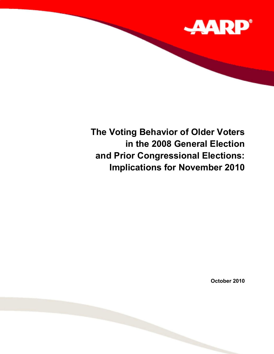

# **The Voting Behavior of Older Voters in the 2008 General Election and Prior Congressional Elections: Implications for November 2010**

**October 2010**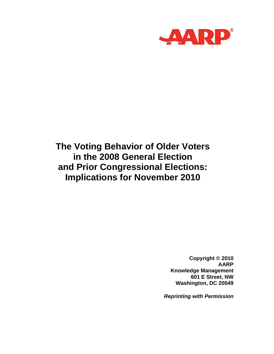

## **The Voting Behavior of Older Voters in the 2008 General Election and Prior Congressional Elections: Implications for November 2010**

**Copyright © 2010 AARP Knowledge Management 601 E Street, NW Washington, DC 20049** 

*Reprinting with Permission*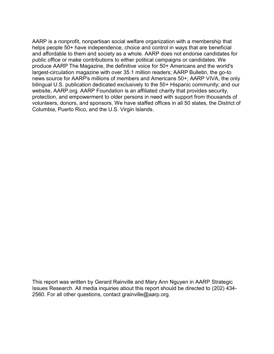AARP is a nonprofit, nonpartisan social welfare organization with a membership that helps people 50+ have independence, choice and control in ways that are beneficial and affordable to them and society as a whole. AARP does not endorse candidates for public office or make contributions to either political campaigns or candidates. We produce AARP The Magazine, the definitive voice for 50+ Americans and the world's largest-circulation magazine with over 35.1 million readers; AARP Bulletin, the go-to news source for AARP's millions of members and Americans 50+; AARP VIVA, the only bilingual U.S. publication dedicated exclusively to the 50+ Hispanic community; and our website, AARP.org. AARP Foundation is an affiliated charity that provides security, protection, and empowerment to older persons in need with support from thousands of volunteers, donors, and sponsors. We have staffed offices in all 50 states, the District of Columbia, Puerto Rico, and the U.S. Virgin Islands.

This report was written by Gerard Rainville and Mary Ann Nguyen in AARP Strategic Issues Research. All media inquiries about this report should be directed to (202) 434- 2560. For all other questions, contact grainville@aarp.org.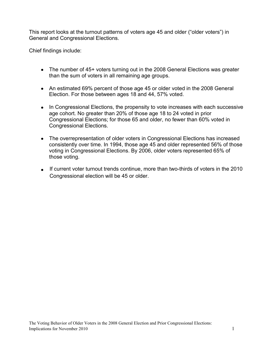This report looks at the turnout patterns of voters age 45 and older ("older voters") in General and Congressional Elections.

Chief findings include:

- The number of 45+ voters turning out in the 2008 General Elections was greater than the sum of voters in all remaining age groups.
- An estimated 69% percent of those age 45 or older voted in the 2008 General Election. For those between ages 18 and 44, 57% voted.
- In Congressional Elections, the propensity to vote increases with each successive age cohort. No greater than 20% of those age 18 to 24 voted in prior Congressional Elections; for those 65 and older, no fewer than 60% voted in Congressional Elections.
- The overrepresentation of older voters in Congressional Elections has increased consistently over time. In 1994, those age 45 and older represented 56% of those voting in Congressional Elections. By 2006, older voters represented 65% of those voting.
- If current voter turnout trends continue, more than two-thirds of voters in the 2010 Congressional election will be 45 or older.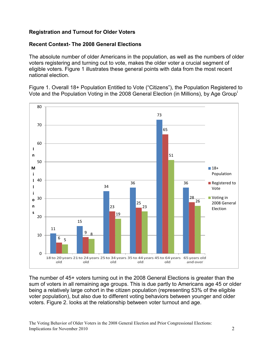### **Registration and Turnout for Older Voters**

#### **Recent Context- The 2008 General Elections**

The absolute number of older Americans in the population, as well as the numbers of older voters registering and turning out to vote, makes the older voter a crucial segment of eligible voters. Figure 1 illustrates these general points with data from the most recent national election.

Figure 1. Overall 18+ Population Entitled to Vote ("Citizens"), the Population Registered to Vote and the Population Voting in the 2008 General Election (in Millions), by Age Group<sup>i</sup>



The number of 45+ voters turning out in the 2008 General Elections is greater than the sum of voters in all remaining age groups. This is due partly to Americans age 45 or older being a relatively large cohort in the citizen population (representing 53% of the eligible voter population), but also due to different voting behaviors between younger and older voters. Figure 2. looks at the relationship between voter turnout and age.

The Voting Behavior of Older Voters in the 2008 General Election and Prior Congressional Elections: Implications for November 2010 2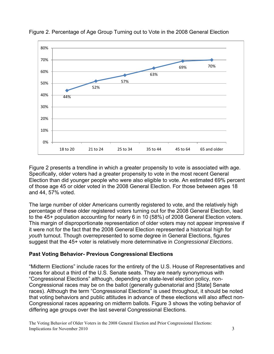

Figure 2. Percentage of Age Group Turning out to Vote in the 2008 General Election

Figure 2 presents a trendline in which a greater propensity to vote is associated with age. Specifically, older voters had a greater propensity to vote in the most recent General Election than did younger people who were also eligible to vote. An estimated 69% percent of those age 45 or older voted in the 2008 General Election. For those between ages 18 and 44, 57% voted.

The large number of older Americans currently registered to vote, and the relatively high percentage of these older registered voters turning out for the 2008 General Election, lead to the 45+ population accounting for nearly 6 in 10 (58%) of 2008 General Election voters. This margin of disproportionate representation of older voters may not appear impressive if it were not for the fact that the 2008 General Election represented a historical high for *youth* turnout. Though overrepresented to some degree in General Elections, figures suggest that the 45+ voter is relatively more determinative in *Congressional Elections*.

#### **Past Voting Behavior- Previous Congressional Elections**

"Midterm Elections" include races for the entirety of the U.S. House of Representatives and races for about a third of the U.S. Senate seats. They are nearly synonymous with "Congressional Elections" although, depending on state-level election policy, non-Congressional races may be on the ballot (generally gubenatorial and [State] Senate races). Although the term "Congressional Elections" is used throughout, it should be noted that voting behaviors and public attitudes in advance of these elections will also affect non-Congressional races appearing on midterm ballots. Figure 3 shows the voting behavior of differing age groups over the last several Congressional Elections.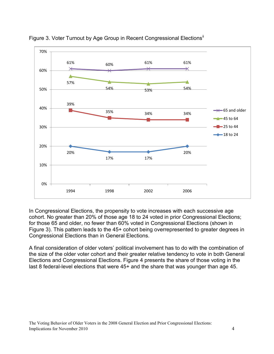

Figure 3. Voter Turnout by Age Group in Recent Congressional Elections<sup>ii</sup>

In Congressional Elections, the propensity to vote increases with each successive age cohort. No greater than 20% of those age 18 to 24 voted in prior Congressional Elections; for those 65 and older, no fewer than 60% voted in Congressional Elections (shown in Figure 3). This pattern leads to the 45+ cohort being overrepresented to greater degrees in Congressional Elections than in General Elections.

A final consideration of older voters' political involvement has to do with the combination of the size of the older voter cohort and their greater relative tendency to vote in both General Elections and Congressional Elections. Figure 4 presents the share of those voting in the last 8 federal-level elections that were 45+ and the share that was younger than age 45.